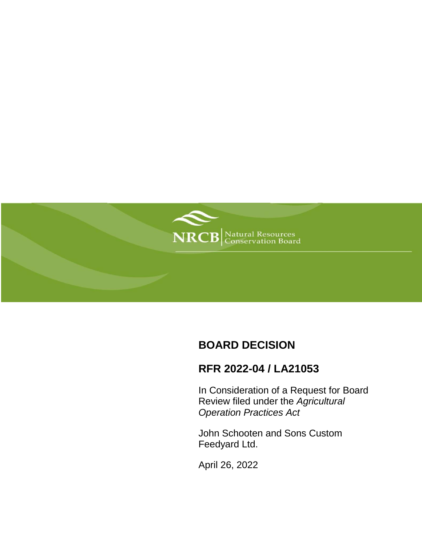

# **BOARD DECISION**

## **RFR 2022-04 / LA21053**

In Consideration of a Request for Board Review filed under the *Agricultural Operation Practices Act*

John Schooten and Sons Custom Feedyard Ltd.

April 26, 2022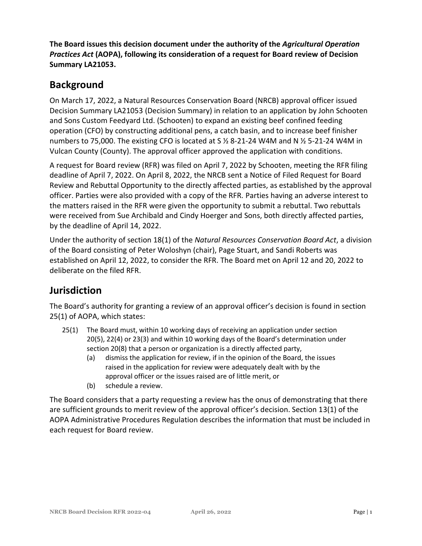**The Board issues this decision document under the authority of the** *Agricultural Operation Practices Act* **(AOPA), following its consideration of a request for Board review of Decision Summary LA21053.**

## **Background**

On March 17, 2022, a Natural Resources Conservation Board (NRCB) approval officer issued Decision Summary LA21053 (Decision Summary) in relation to an application by John Schooten and Sons Custom Feedyard Ltd. (Schooten) to expand an existing beef confined feeding operation (CFO) by constructing additional pens, a catch basin, and to increase beef finisher numbers to 75,000. The existing CFO is located at S ½ 8-21-24 W4M and N ½ 5-21-24 W4M in Vulcan County (County). The approval officer approved the application with conditions.

A request for Board review (RFR) was filed on April 7, 2022 by Schooten, meeting the RFR filing deadline of April 7, 2022. On April 8, 2022, the NRCB sent a Notice of Filed Request for Board Review and Rebuttal Opportunity to the directly affected parties, as established by the approval officer. Parties were also provided with a copy of the RFR. Parties having an adverse interest to the matters raised in the RFR were given the opportunity to submit a rebuttal. Two rebuttals were received from Sue Archibald and Cindy Hoerger and Sons, both directly affected parties, by the deadline of April 14, 2022.

Under the authority of section 18(1) of the *Natural Resources Conservation Board Act*, a division of the Board consisting of Peter Woloshyn (chair), Page Stuart, and Sandi Roberts was established on April 12, 2022, to consider the RFR. The Board met on April 12 and 20, 2022 to deliberate on the filed RFR.

## **Jurisdiction**

The Board's authority for granting a review of an approval officer's decision is found in section 25(1) of AOPA, which states:

- 25(1) The Board must, within 10 working days of receiving an application under section 20(5), 22(4) or 23(3) and within 10 working days of the Board's determination under section 20(8) that a person or organization is a directly affected party,
	- (a) dismiss the application for review, if in the opinion of the Board, the issues raised in the application for review were adequately dealt with by the approval officer or the issues raised are of little merit, or
	- (b) schedule a review.

The Board considers that a party requesting a review has the onus of demonstrating that there are sufficient grounds to merit review of the approval officer's decision. Section 13(1) of the AOPA Administrative Procedures Regulation describes the information that must be included in each request for Board review.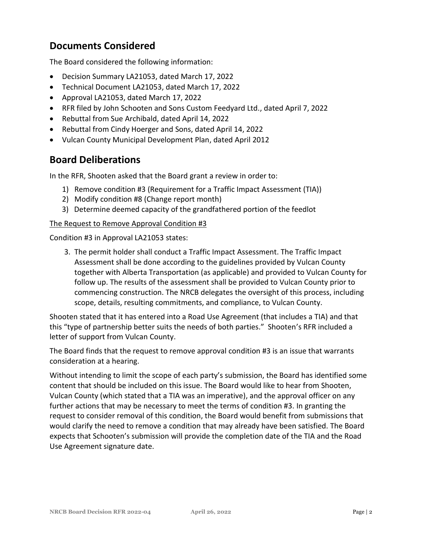### **Documents Considered**

The Board considered the following information:

- Decision Summary LA21053, dated March 17, 2022
- Technical Document LA21053, dated March 17, 2022
- Approval LA21053, dated March 17, 2022
- RFR filed by John Schooten and Sons Custom Feedyard Ltd., dated April 7, 2022
- Rebuttal from Sue Archibald, dated April 14, 2022
- Rebuttal from Cindy Hoerger and Sons, dated April 14, 2022
- Vulcan County Municipal Development Plan, dated April 2012

### **Board Deliberations**

In the RFR, Shooten asked that the Board grant a review in order to:

- 1) Remove condition #3 (Requirement for a Traffic Impact Assessment (TIA))
- 2) Modify condition #8 (Change report month)
- 3) Determine deemed capacity of the grandfathered portion of the feedlot

#### The Request to Remove Approval Condition #3

Condition #3 in Approval LA21053 states:

3. The permit holder shall conduct a Traffic Impact Assessment. The Traffic Impact Assessment shall be done according to the guidelines provided by Vulcan County together with Alberta Transportation (as applicable) and provided to Vulcan County for follow up. The results of the assessment shall be provided to Vulcan County prior to commencing construction. The NRCB delegates the oversight of this process, including scope, details, resulting commitments, and compliance, to Vulcan County.

Shooten stated that it has entered into a Road Use Agreement (that includes a TIA) and that this "type of partnership better suits the needs of both parties." Shooten's RFR included a letter of support from Vulcan County.

The Board finds that the request to remove approval condition #3 is an issue that warrants consideration at a hearing.

Without intending to limit the scope of each party's submission, the Board has identified some content that should be included on this issue. The Board would like to hear from Shooten, Vulcan County (which stated that a TIA was an imperative), and the approval officer on any further actions that may be necessary to meet the terms of condition #3. In granting the request to consider removal of this condition, the Board would benefit from submissions that would clarify the need to remove a condition that may already have been satisfied. The Board expects that Schooten's submission will provide the completion date of the TIA and the Road Use Agreement signature date.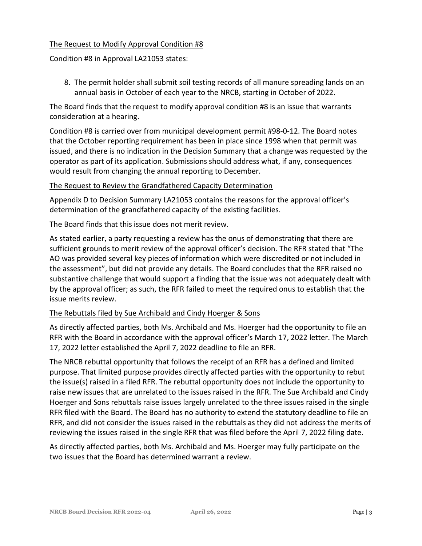#### The Request to Modify Approval Condition #8

Condition #8 in Approval LA21053 states:

8. The permit holder shall submit soil testing records of all manure spreading lands on an annual basis in October of each year to the NRCB, starting in October of 2022.

The Board finds that the request to modify approval condition #8 is an issue that warrants consideration at a hearing.

Condition #8 is carried over from municipal development permit #98-0-12. The Board notes that the October reporting requirement has been in place since 1998 when that permit was issued, and there is no indication in the Decision Summary that a change was requested by the operator as part of its application. Submissions should address what, if any, consequences would result from changing the annual reporting to December.

#### The Request to Review the Grandfathered Capacity Determination

Appendix D to Decision Summary LA21053 contains the reasons for the approval officer's determination of the grandfathered capacity of the existing facilities.

The Board finds that this issue does not merit review.

As stated earlier, a party requesting a review has the onus of demonstrating that there are sufficient grounds to merit review of the approval officer's decision. The RFR stated that "The AO was provided several key pieces of information which were discredited or not included in the assessment", but did not provide any details. The Board concludes that the RFR raised no substantive challenge that would support a finding that the issue was not adequately dealt with by the approval officer; as such, the RFR failed to meet the required onus to establish that the issue merits review.

#### The Rebuttals filed by Sue Archibald and Cindy Hoerger & Sons

As directly affected parties, both Ms. Archibald and Ms. Hoerger had the opportunity to file an RFR with the Board in accordance with the approval officer's March 17, 2022 letter. The March 17, 2022 letter established the April 7, 2022 deadline to file an RFR.

The NRCB rebuttal opportunity that follows the receipt of an RFR has a defined and limited purpose. That limited purpose provides directly affected parties with the opportunity to rebut the issue(s) raised in a filed RFR. The rebuttal opportunity does not include the opportunity to raise new issues that are unrelated to the issues raised in the RFR. The Sue Archibald and Cindy Hoerger and Sons rebuttals raise issues largely unrelated to the three issues raised in the single RFR filed with the Board. The Board has no authority to extend the statutory deadline to file an RFR, and did not consider the issues raised in the rebuttals as they did not address the merits of reviewing the issues raised in the single RFR that was filed before the April 7, 2022 filing date.

As directly affected parties, both Ms. Archibald and Ms. Hoerger may fully participate on the two issues that the Board has determined warrant a review.